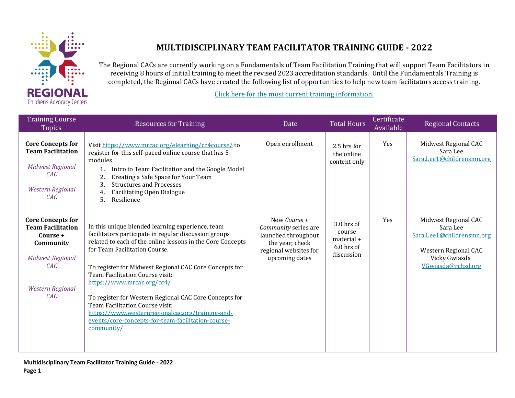

## **MULTIDISCIPLINARY TEAM FACILITATOR TRAINING GUIDE - 2022**

The Regional CACs are currently working on a Fundamentals of Team Facilitation Training that will support Team Facilitators in receiving 8 hours of initial training to meet the revised 2023 accreditation standards. Until the Fundamentals Training is completed, the Regional CACs have created the following list of opportunities to help new team facilitators access training.

[Click here for the most current training information.](https://docs.google.com/document/d/1TP19ZgphD2A2bYkMYLAeniyqFtwus_kZajGkTlO_Po0/edit?usp=sharing)

| <b>Training Course</b><br><b>Topics</b>                                                                                                                  | <b>Resources for Training</b>                                                                                                                                                                                                                                                                                                                                                                                                                                                                                                                            | Date                                                                                                                      | <b>Total Hours</b>                                             | Certificate<br>Available | <b>Regional Contacts</b>                                                                                                     |
|----------------------------------------------------------------------------------------------------------------------------------------------------------|----------------------------------------------------------------------------------------------------------------------------------------------------------------------------------------------------------------------------------------------------------------------------------------------------------------------------------------------------------------------------------------------------------------------------------------------------------------------------------------------------------------------------------------------------------|---------------------------------------------------------------------------------------------------------------------------|----------------------------------------------------------------|--------------------------|------------------------------------------------------------------------------------------------------------------------------|
| <b>Core Concepts for</b><br><b>Team Facilitation</b><br><b>Midwest Regional</b><br>CAC<br><b>Western Regional</b><br>CAC                                 | Visit https://www.mrcac.org/elearning/cc4course/to<br>register for this self-paced online course that has 5<br>modules<br>Intro to Team Facilitation and the Google Model<br>Creating a Safe Space for Your Team<br>2.<br>3.<br><b>Structures and Processes</b><br><b>Facilitating Open Dialogue</b><br>4.<br>5.<br>Resilience                                                                                                                                                                                                                           | Open enrollment                                                                                                           | 2.5 hrs for<br>the online<br>content only                      | Yes                      | Midwest Regional CAC<br>Sara Lee<br>Sara.Lee1@childrensmn.org                                                                |
| <b>Core Concepts for</b><br><b>Team Facilitation</b><br>Course +<br>Community<br><b>Midwest Regional</b><br><b>CAC</b><br><b>Western Regional</b><br>CAC | In this unique blended learning experience, team<br>facilitators participate in regular discussion groups<br>related to each of the online lessons in the Core Concepts<br>for Team Facilitation Course.<br>To register for Midwest Regional CAC Core Concepts for<br>Team Facilitation Course visit:<br>https://www.mrcac.org/cc4/<br>To register for Western Regional CAC Core Concepts for<br>Team Facilitation Course visit:<br>https://www.westernregionalcac.org/training-and-<br>events/core-concepts-for-team-facilitation-course-<br>community/ | New Course +<br>Community series are<br>launched throughout<br>the year; check<br>regional websites for<br>upcoming dates | 3.0 hrs of<br>course<br>material +<br>6.0 hrs of<br>discussion | Yes                      | Midwest Regional CAC<br>Sara Lee<br>Sara.Lee1@childrensmn.org<br>Western Regional CAC<br>Vicky Gwiasda<br>VGwiasda@rchsd.org |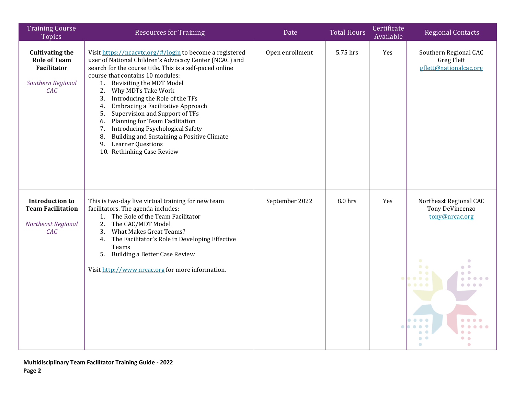| <b>Training Course</b><br><b>Topics</b>                                                         | <b>Resources for Training</b>                                                                                                                                                                                                                                                                                                                                                                                                                                                                                                                                                                                             | Date            | <b>Total Hours</b> | Certificate<br>Available | <b>Regional Contacts</b>                                                                                                   |
|-------------------------------------------------------------------------------------------------|---------------------------------------------------------------------------------------------------------------------------------------------------------------------------------------------------------------------------------------------------------------------------------------------------------------------------------------------------------------------------------------------------------------------------------------------------------------------------------------------------------------------------------------------------------------------------------------------------------------------------|-----------------|--------------------|--------------------------|----------------------------------------------------------------------------------------------------------------------------|
| <b>Cultivating the</b><br><b>Role of Team</b><br><b>Facilitator</b><br>Southern Regional<br>CAC | Visit https://ncacvtc.org/#/login to become a registered<br>user of National Children's Advocacy Center (NCAC) and<br>search for the course title. This is a self-paced online<br>course that contains 10 modules:<br>Revisiting the MDT Model<br>1.<br>2.<br>Why MDTs Take Work<br>Introducing the Role of the TFs<br>3.<br>Embracing a Facilitative Approach<br>4.<br>5.<br>Supervision and Support of TFs<br>Planning for Team Facilitation<br>6.<br><b>Introducing Psychological Safety</b><br>7.<br>Building and Sustaining a Positive Climate<br>8.<br><b>Learner Questions</b><br>9.<br>10. Rethinking Case Review | Open enrollment | 5.75 hrs           | Yes                      | Southern Regional CAC<br><b>Greg Flett</b><br>gflett@nationalcac.org                                                       |
| <b>Introduction to</b><br><b>Team Facilitation</b><br>Northeast Regional<br>CAC                 | This is two-day live virtual training for new team<br>facilitators. The agenda includes:<br>The Role of the Team Facilitator<br>1.<br>The CAC/MDT Model<br>2.<br><b>What Makes Great Teams?</b><br>3.<br>The Facilitator's Role in Developing Effective<br>4.<br>Teams<br>5.<br><b>Building a Better Case Review</b><br>Visit http://www.nrcac.org for more information.                                                                                                                                                                                                                                                  | September 2022  | 8.0 hrs            | Yes                      | Northeast Regional CAC<br>Tony DeVincenzo<br>tony@nrcac.org<br>$\bullet$ $\bullet$<br>$\bullet\bullet\bullet$<br>$\bullet$ |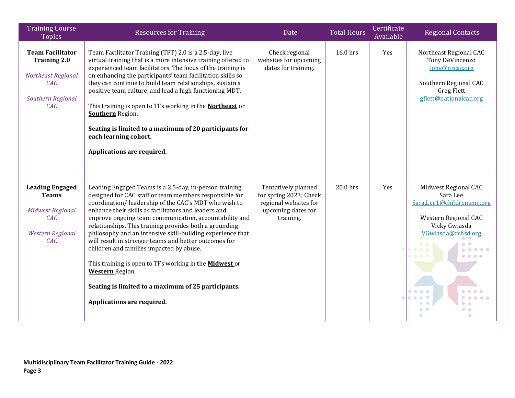| <b>Training Course</b><br><b>Topics</b>                                                                    | <b>Resources for Training</b>                                                                                                                                                                                                                                                                                                                                                                                                                                                                                                                                                                                                                                                                           | Date                                                                                                      | <b>Total Hours</b> | Certificate<br>Available | <b>Regional Contacts</b>                                                                                                                  |
|------------------------------------------------------------------------------------------------------------|---------------------------------------------------------------------------------------------------------------------------------------------------------------------------------------------------------------------------------------------------------------------------------------------------------------------------------------------------------------------------------------------------------------------------------------------------------------------------------------------------------------------------------------------------------------------------------------------------------------------------------------------------------------------------------------------------------|-----------------------------------------------------------------------------------------------------------|--------------------|--------------------------|-------------------------------------------------------------------------------------------------------------------------------------------|
| <b>Team Facilitator</b><br><b>Training 2.0</b><br>Northeast Regional<br>CAC<br>Southern Regional<br>CAC    | Team Facilitator Training (TFT) 2.0 is a 2.5-day, live<br>virtual training that is a more intensive training offered to<br>experienced team facilitators. The focus of the training is<br>on enhancing the participants' team facilitation skills so<br>they can continue to build team relationships, sustain a<br>positive team culture, and lead a high functioning MDT.<br>This training is open to TFs working in the <b>Northeast</b> or<br><b>Southern</b> Region.<br>Seating is limited to a maximum of 20 participants for<br>each learning cohort.<br>Applications are required.                                                                                                              | Check regional<br>websites for upcoming<br>dates for training.                                            | 16.0 hrs           | Yes                      | Northeast Regional CAC<br>Tony DeVincenzo<br>tony@nrcac.org<br>Southern Regional CAC<br>Greg Flett<br>gflett@nationalcac.org              |
| <b>Leading Engaged</b><br><b>Teams</b><br><b>Midwest Regional</b><br>CAC<br><b>Western Regional</b><br>CAC | Leading Engaged Teams is a 2.5-day, in-person training<br>designed for CAC staff or team members responsible for<br>coordination/leadership of the CAC's MDT who wish to<br>enhance their skills as facilitators and leaders and<br>improve ongoing team communication, accountability and<br>relationships. This training provides both a grounding<br>philosophy and an intensive skill-building experience that<br>will result in stronger teams and better outcomes for<br>children and families impacted by abuse.<br>This training is open to TFs working in the <b>Midwest</b> or<br><b>Western</b> Region.<br>Seating is limited to a maximum of 25 participants.<br>Applications are required. | Tentatively planned<br>for spring 2023; Check<br>regional websites for<br>upcoming dates for<br>training. | 20.0 hrs           | Yes                      | Midwest Regional CAC<br>Sara Lee<br>Sara.Lee1@childrensmn.org<br>Western Regional CAC<br>Vicky Gwiasda<br>VGwiasda@rchsd.org<br>$\bullet$ |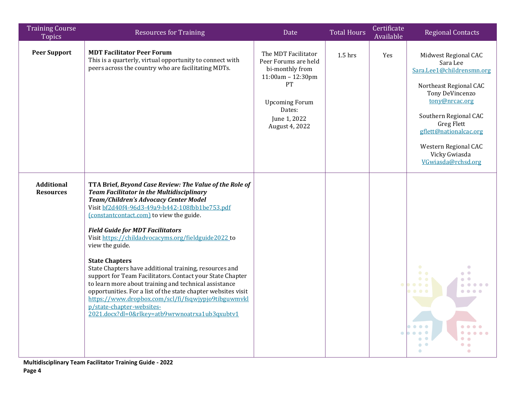| <b>Training Course</b><br><b>Topics</b> | <b>Resources for Training</b>                                                                                                                                                                                                                                                                                                                                                                                                                                                                                                                                                                                                                                                                                                                                                           | Date                                                                                                                                                           | <b>Total Hours</b> | Certificate<br>Available | <b>Regional Contacts</b>                                                                                                                                                                                                                                            |
|-----------------------------------------|-----------------------------------------------------------------------------------------------------------------------------------------------------------------------------------------------------------------------------------------------------------------------------------------------------------------------------------------------------------------------------------------------------------------------------------------------------------------------------------------------------------------------------------------------------------------------------------------------------------------------------------------------------------------------------------------------------------------------------------------------------------------------------------------|----------------------------------------------------------------------------------------------------------------------------------------------------------------|--------------------|--------------------------|---------------------------------------------------------------------------------------------------------------------------------------------------------------------------------------------------------------------------------------------------------------------|
| <b>Peer Support</b>                     | <b>MDT Facilitator Peer Forum</b><br>This is a quarterly, virtual opportunity to connect with<br>peers across the country who are facilitating MDTs.                                                                                                                                                                                                                                                                                                                                                                                                                                                                                                                                                                                                                                    | The MDT Facilitator<br>Peer Forums are held<br>bi-monthly from<br>11:00am - 12:30pm<br>PT<br><b>Upcoming Forum</b><br>Dates:<br>June 1, 2022<br>August 4, 2022 | $1.5$ hrs          | Yes                      | Midwest Regional CAC<br>Sara Lee<br>Sara.Lee1@childrensmn.org<br>Northeast Regional CAC<br>Tony DeVincenzo<br>tony@nrcac.org<br>Southern Regional CAC<br><b>Greg Flett</b><br>gflett@nationalcac.org<br>Western Regional CAC<br>Vicky Gwiasda<br>VGwiasda@rchsd.org |
| <b>Additional</b><br><b>Resources</b>   | TTA Brief, Beyond Case Review: The Value of the Role of<br><b>Team Facilitator in the Multidisciplinary</b><br>Team/Children's Advocacy Center Model<br>Visit bf2d40f4-96d3-49a9-b442-108fbb1be753.pdf<br>(constantcontact.com) to view the guide.<br><b>Field Guide for MDT Facilitators</b><br>Visit https://childadvocacyms.org/fieldguide2022 to<br>view the guide.<br><b>State Chapters</b><br>State Chapters have additional training, resources and<br>support for Team Facilitators. Contact your State Chapter<br>to learn more about training and technical assistance<br>opportunities. For a list of the state chapter websites visit<br>https://www.dropbox.com/scl/fi/fsqwjypjo9tibguwmykl<br>p/state-chapter-websites-<br>2021.docx?dl=0&rlkey=atb9wrwnoatrxa1ub3qxubtv1 |                                                                                                                                                                |                    |                          | $\bullet$ $\bullet$<br>$\begin{array}{c} \bullet & \bullet & \bullet \end{array}$<br>$\bullet\hspace{0.1cm} \bullet\hspace{0.1cm}\bullet\hspace{0.1cm} \bullet$                                                                                                     |